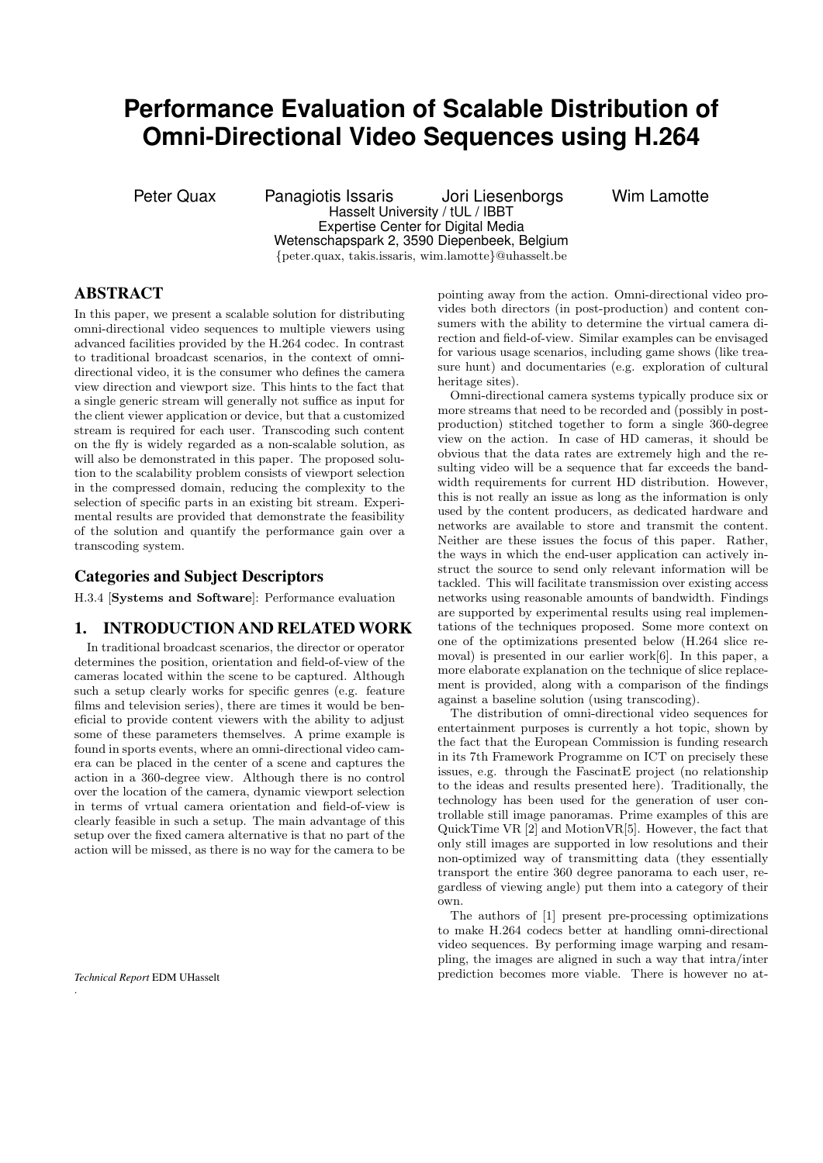# **Performance Evaluation of Scalable Distribution of Omni-Directional Video Sequences using H.264**

Peter Quax Panagiotis Issaris Jori Liesenborgs Wim Lamotte Hasselt University / tUL / IBBT Expertise Center for Digital Media Wetenschapspark 2, 3590 Diepenbeek, Belgium {peter.quax, takis.issaris, wim.lamotte}@uhasselt.be

# ABSTRACT

In this paper, we present a scalable solution for distributing omni-directional video sequences to multiple viewers using advanced facilities provided by the H.264 codec. In contrast to traditional broadcast scenarios, in the context of omnidirectional video, it is the consumer who defines the camera view direction and viewport size. This hints to the fact that a single generic stream will generally not suffice as input for the client viewer application or device, but that a customized stream is required for each user. Transcoding such content on the fly is widely regarded as a non-scalable solution, as will also be demonstrated in this paper. The proposed solution to the scalability problem consists of viewport selection in the compressed domain, reducing the complexity to the selection of specific parts in an existing bit stream. Experimental results are provided that demonstrate the feasibility of the solution and quantify the performance gain over a transcoding system.

## Categories and Subject Descriptors

H.3.4 [Systems and Software]: Performance evaluation

# 1. INTRODUCTION AND RELATED WORK

In traditional broadcast scenarios, the director or operator determines the position, orientation and field-of-view of the cameras located within the scene to be captured. Although such a setup clearly works for specific genres (e.g. feature films and television series), there are times it would be beneficial to provide content viewers with the ability to adjust some of these parameters themselves. A prime example is found in sports events, where an omni-directional video camera can be placed in the center of a scene and captures the action in a 360-degree view. Although there is no control over the location of the camera, dynamic viewport selection in terms of vrtual camera orientation and field-of-view is clearly feasible in such a setup. The main advantage of this setup over the fixed camera alternative is that no part of the action will be missed, as there is no way for the camera to be

.

pointing away from the action. Omni-directional video provides both directors (in post-production) and content consumers with the ability to determine the virtual camera direction and field-of-view. Similar examples can be envisaged for various usage scenarios, including game shows (like treasure hunt) and documentaries (e.g. exploration of cultural heritage sites).

Omni-directional camera systems typically produce six or more streams that need to be recorded and (possibly in postproduction) stitched together to form a single 360-degree view on the action. In case of HD cameras, it should be obvious that the data rates are extremely high and the resulting video will be a sequence that far exceeds the bandwidth requirements for current HD distribution. However, this is not really an issue as long as the information is only used by the content producers, as dedicated hardware and networks are available to store and transmit the content. Neither are these issues the focus of this paper. Rather, the ways in which the end-user application can actively instruct the source to send only relevant information will be tackled. This will facilitate transmission over existing access networks using reasonable amounts of bandwidth. Findings are supported by experimental results using real implementations of the techniques proposed. Some more context on one of the optimizations presented below (H.264 slice removal) is presented in our earlier work[6]. In this paper, a more elaborate explanation on the technique of slice replacement is provided, along with a comparison of the findings against a baseline solution (using transcoding).

The distribution of omni-directional video sequences for entertainment purposes is currently a hot topic, shown by the fact that the European Commission is funding research in its 7th Framework Programme on ICT on precisely these issues, e.g. through the FascinatE project (no relationship to the ideas and results presented here). Traditionally, the technology has been used for the generation of user controllable still image panoramas. Prime examples of this are QuickTime VR [2] and MotionVR[5]. However, the fact that only still images are supported in low resolutions and their non-optimized way of transmitting data (they essentially transport the entire 360 degree panorama to each user, regardless of viewing angle) put them into a category of their own.

The authors of [1] present pre-processing optimizations to make H.264 codecs better at handling omni-directional video sequences. By performing image warping and resampling, the images are aligned in such a way that intra/inter prediction becomes more viable. There is however no at-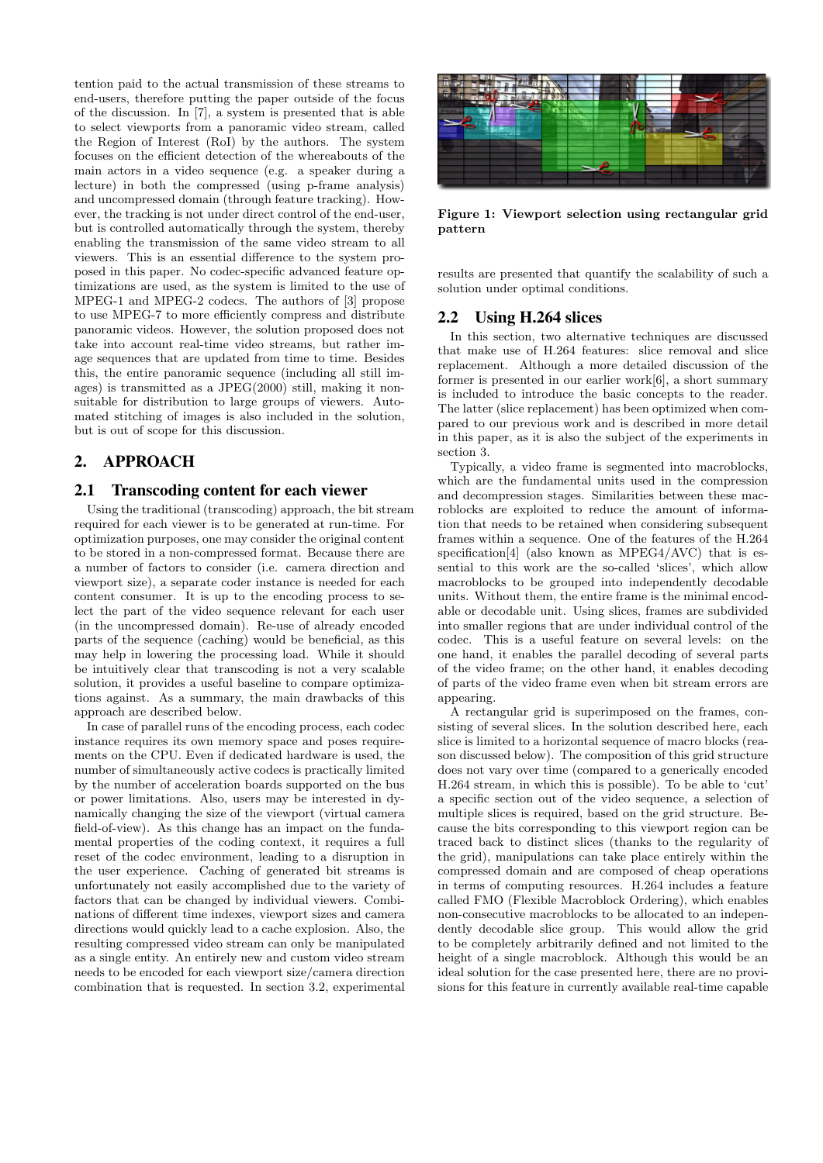tention paid to the actual transmission of these streams to end-users, therefore putting the paper outside of the focus of the discussion. In [7], a system is presented that is able to select viewports from a panoramic video stream, called the Region of Interest (RoI) by the authors. The system focuses on the efficient detection of the whereabouts of the main actors in a video sequence (e.g. a speaker during a lecture) in both the compressed (using p-frame analysis) and uncompressed domain (through feature tracking). However, the tracking is not under direct control of the end-user, but is controlled automatically through the system, thereby enabling the transmission of the same video stream to all viewers. This is an essential difference to the system proposed in this paper. No codec-specific advanced feature optimizations are used, as the system is limited to the use of MPEG-1 and MPEG-2 codecs. The authors of [3] propose to use MPEG-7 to more efficiently compress and distribute panoramic videos. However, the solution proposed does not take into account real-time video streams, but rather image sequences that are updated from time to time. Besides this, the entire panoramic sequence (including all still images) is transmitted as a JPEG(2000) still, making it nonsuitable for distribution to large groups of viewers. Automated stitching of images is also included in the solution, but is out of scope for this discussion.

# 2. APPROACH

# 2.1 Transcoding content for each viewer

Using the traditional (transcoding) approach, the bit stream required for each viewer is to be generated at run-time. For optimization purposes, one may consider the original content to be stored in a non-compressed format. Because there are a number of factors to consider (i.e. camera direction and viewport size), a separate coder instance is needed for each content consumer. It is up to the encoding process to select the part of the video sequence relevant for each user (in the uncompressed domain). Re-use of already encoded parts of the sequence (caching) would be beneficial, as this may help in lowering the processing load. While it should be intuitively clear that transcoding is not a very scalable solution, it provides a useful baseline to compare optimizations against. As a summary, the main drawbacks of this approach are described below.

In case of parallel runs of the encoding process, each codec instance requires its own memory space and poses requirements on the CPU. Even if dedicated hardware is used, the number of simultaneously active codecs is practically limited by the number of acceleration boards supported on the bus or power limitations. Also, users may be interested in dynamically changing the size of the viewport (virtual camera field-of-view). As this change has an impact on the fundamental properties of the coding context, it requires a full reset of the codec environment, leading to a disruption in the user experience. Caching of generated bit streams is unfortunately not easily accomplished due to the variety of factors that can be changed by individual viewers. Combinations of different time indexes, viewport sizes and camera directions would quickly lead to a cache explosion. Also, the resulting compressed video stream can only be manipulated as a single entity. An entirely new and custom video stream needs to be encoded for each viewport size/camera direction combination that is requested. In section 3.2, experimental



Figure 1: Viewport selection using rectangular grid pattern

results are presented that quantify the scalability of such a solution under optimal conditions.

# 2.2 Using H.264 slices

In this section, two alternative techniques are discussed that make use of H.264 features: slice removal and slice replacement. Although a more detailed discussion of the former is presented in our earlier work[6], a short summary is included to introduce the basic concepts to the reader. The latter (slice replacement) has been optimized when compared to our previous work and is described in more detail in this paper, as it is also the subject of the experiments in section 3.

Typically, a video frame is segmented into macroblocks, which are the fundamental units used in the compression and decompression stages. Similarities between these macroblocks are exploited to reduce the amount of information that needs to be retained when considering subsequent frames within a sequence. One of the features of the H.264 specification[4] (also known as MPEG4/AVC) that is essential to this work are the so-called 'slices', which allow macroblocks to be grouped into independently decodable units. Without them, the entire frame is the minimal encodable or decodable unit. Using slices, frames are subdivided into smaller regions that are under individual control of the codec. This is a useful feature on several levels: on the one hand, it enables the parallel decoding of several parts of the video frame; on the other hand, it enables decoding of parts of the video frame even when bit stream errors are appearing.

A rectangular grid is superimposed on the frames, consisting of several slices. In the solution described here, each slice is limited to a horizontal sequence of macro blocks (reason discussed below). The composition of this grid structure does not vary over time (compared to a generically encoded H.264 stream, in which this is possible). To be able to 'cut' a specific section out of the video sequence, a selection of multiple slices is required, based on the grid structure. Because the bits corresponding to this viewport region can be traced back to distinct slices (thanks to the regularity of the grid), manipulations can take place entirely within the compressed domain and are composed of cheap operations in terms of computing resources. H.264 includes a feature called FMO (Flexible Macroblock Ordering), which enables non-consecutive macroblocks to be allocated to an independently decodable slice group. This would allow the grid to be completely arbitrarily defined and not limited to the height of a single macroblock. Although this would be an ideal solution for the case presented here, there are no provisions for this feature in currently available real-time capable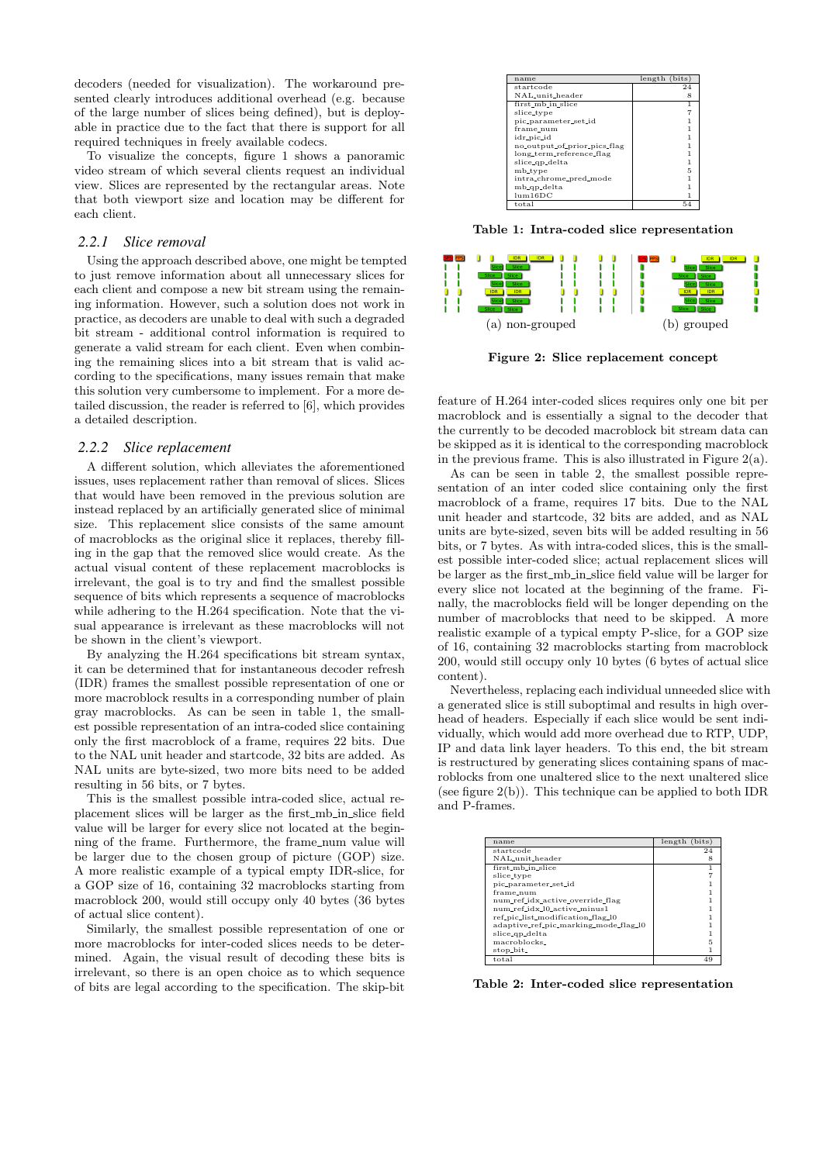decoders (needed for visualization). The workaround presented clearly introduces additional overhead (e.g. because of the large number of slices being defined), but is deployable in practice due to the fact that there is support for all required techniques in freely available codecs.

To visualize the concepts, figure 1 shows a panoramic video stream of which several clients request an individual view. Slices are represented by the rectangular areas. Note that both viewport size and location may be different for each client.

#### *2.2.1 Slice removal*

Using the approach described above, one might be tempted to just remove information about all unnecessary slices for each client and compose a new bit stream using the remaining information. However, such a solution does not work in practice, as decoders are unable to deal with such a degraded bit stream - additional control information is required to generate a valid stream for each client. Even when combining the remaining slices into a bit stream that is valid according to the specifications, many issues remain that make this solution very cumbersome to implement. For a more detailed discussion, the reader is referred to [6], which provides a detailed description.

#### *2.2.2 Slice replacement*

A different solution, which alleviates the aforementioned issues, uses replacement rather than removal of slices. Slices that would have been removed in the previous solution are instead replaced by an artificially generated slice of minimal size. This replacement slice consists of the same amount of macroblocks as the original slice it replaces, thereby filling in the gap that the removed slice would create. As the actual visual content of these replacement macroblocks is irrelevant, the goal is to try and find the smallest possible sequence of bits which represents a sequence of macroblocks while adhering to the H.264 specification. Note that the visual appearance is irrelevant as these macroblocks will not be shown in the client's viewport.

By analyzing the H.264 specifications bit stream syntax, it can be determined that for instantaneous decoder refresh (IDR) frames the smallest possible representation of one or more macroblock results in a corresponding number of plain gray macroblocks. As can be seen in table 1, the smallest possible representation of an intra-coded slice containing only the first macroblock of a frame, requires 22 bits. Due to the NAL unit header and startcode, 32 bits are added. As NAL units are byte-sized, two more bits need to be added resulting in 56 bits, or 7 bytes.

This is the smallest possible intra-coded slice, actual replacement slices will be larger as the first mb in slice field value will be larger for every slice not located at the beginning of the frame. Furthermore, the frame\_num value will be larger due to the chosen group of picture (GOP) size. A more realistic example of a typical empty IDR-slice, for a GOP size of 16, containing 32 macroblocks starting from macroblock 200, would still occupy only 40 bytes (36 bytes of actual slice content).

Similarly, the smallest possible representation of one or more macroblocks for inter-coded slices needs to be determined. Again, the visual result of decoding these bits is irrelevant, so there is an open choice as to which sequence of bits are legal according to the specification. The skip-bit

| name                         | length (bits) |
|------------------------------|---------------|
| startcode                    | 24            |
| NAL_unit_header              | 8             |
| first_mb_in_slice            |               |
| slice_type                   |               |
| pic_parameter_set_id         |               |
| frame_num                    |               |
| idr_pic_id                   |               |
| no_output_of_prior_pics_flag |               |
| long_term_reference_flag     |               |
| slice_qp_delta               |               |
| mb_type                      | 5             |
| intra_chrome_pred_mode       |               |
| mb_qp_delta                  |               |
| lum16DC                      |               |
| total                        | 54            |

Table 1: Intra-coded slice representation



Figure 2: Slice replacement concept

feature of H.264 inter-coded slices requires only one bit per macroblock and is essentially a signal to the decoder that the currently to be decoded macroblock bit stream data can be skipped as it is identical to the corresponding macroblock in the previous frame. This is also illustrated in Figure 2(a).

As can be seen in table 2, the smallest possible representation of an inter coded slice containing only the first macroblock of a frame, requires 17 bits. Due to the NAL unit header and startcode, 32 bits are added, and as NAL units are byte-sized, seven bits will be added resulting in 56 bits, or 7 bytes. As with intra-coded slices, this is the smallest possible inter-coded slice; actual replacement slices will be larger as the first\_mb\_in\_slice field value will be larger for every slice not located at the beginning of the frame. Finally, the macroblocks field will be longer depending on the number of macroblocks that need to be skipped. A more realistic example of a typical empty P-slice, for a GOP size of 16, containing 32 macroblocks starting from macroblock 200, would still occupy only 10 bytes (6 bytes of actual slice content).

Nevertheless, replacing each individual unneeded slice with a generated slice is still suboptimal and results in high overhead of headers. Especially if each slice would be sent individually, which would add more overhead due to RTP, UDP, IP and data link layer headers. To this end, the bit stream is restructured by generating slices containing spans of macroblocks from one unaltered slice to the next unaltered slice (see figure 2(b)). This technique can be applied to both IDR and P-frames.

| name                                  | length<br>(bits) |
|---------------------------------------|------------------|
| startcode                             | 24               |
| NAL_unit_header                       |                  |
| first_mb_in_slice                     |                  |
| slice_type                            |                  |
| pic_parameter_set_id                  |                  |
| frame_num                             |                  |
| num_ref_idx_active_override_flag      |                  |
| num ref idx 10 active minus1          |                  |
| ref_pic_list_modification_flag_10     |                  |
| adaptive_ref_pic_marking_mode_flag_10 |                  |
| slice_qp_delta                        |                  |
| macroblocks                           |                  |
| stop_bit_                             |                  |
| total                                 | 49               |

Table 2: Inter-coded slice representation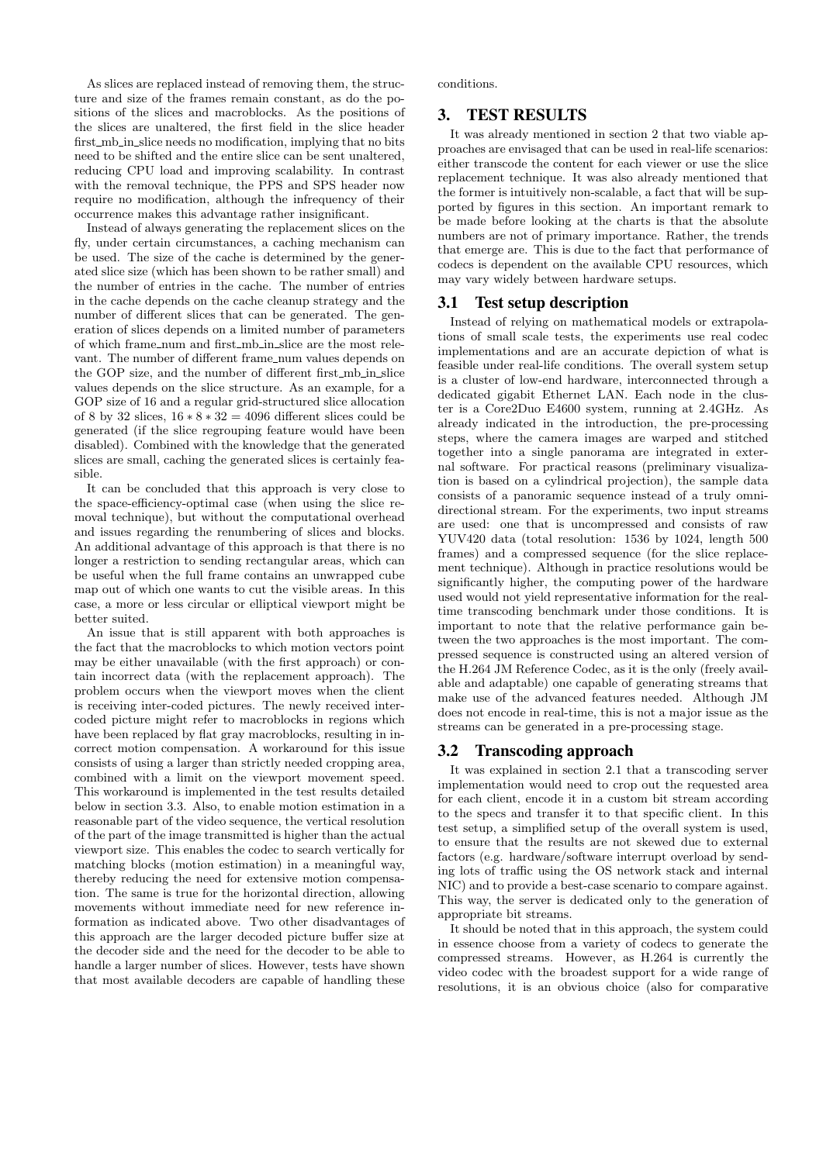As slices are replaced instead of removing them, the structure and size of the frames remain constant, as do the positions of the slices and macroblocks. As the positions of the slices are unaltered, the first field in the slice header first\_mb\_in\_slice needs no modification, implying that no bits need to be shifted and the entire slice can be sent unaltered, reducing CPU load and improving scalability. In contrast with the removal technique, the PPS and SPS header now require no modification, although the infrequency of their occurrence makes this advantage rather insignificant.

Instead of always generating the replacement slices on the fly, under certain circumstances, a caching mechanism can be used. The size of the cache is determined by the generated slice size (which has been shown to be rather small) and the number of entries in the cache. The number of entries in the cache depends on the cache cleanup strategy and the number of different slices that can be generated. The generation of slices depends on a limited number of parameters of which frame num and first mb in slice are the most relevant. The number of different frame\_num values depends on the GOP size, and the number of different first\_mb\_in\_slice values depends on the slice structure. As an example, for a GOP size of 16 and a regular grid-structured slice allocation of 8 by 32 slices,  $16 * 8 * 32 = 4096$  different slices could be generated (if the slice regrouping feature would have been disabled). Combined with the knowledge that the generated slices are small, caching the generated slices is certainly feasible.

It can be concluded that this approach is very close to the space-efficiency-optimal case (when using the slice removal technique), but without the computational overhead and issues regarding the renumbering of slices and blocks. An additional advantage of this approach is that there is no longer a restriction to sending rectangular areas, which can be useful when the full frame contains an unwrapped cube map out of which one wants to cut the visible areas. In this case, a more or less circular or elliptical viewport might be better suited.

An issue that is still apparent with both approaches is the fact that the macroblocks to which motion vectors point may be either unavailable (with the first approach) or contain incorrect data (with the replacement approach). The problem occurs when the viewport moves when the client is receiving inter-coded pictures. The newly received intercoded picture might refer to macroblocks in regions which have been replaced by flat gray macroblocks, resulting in incorrect motion compensation. A workaround for this issue consists of using a larger than strictly needed cropping area, combined with a limit on the viewport movement speed. This workaround is implemented in the test results detailed below in section 3.3. Also, to enable motion estimation in a reasonable part of the video sequence, the vertical resolution of the part of the image transmitted is higher than the actual viewport size. This enables the codec to search vertically for matching blocks (motion estimation) in a meaningful way, thereby reducing the need for extensive motion compensation. The same is true for the horizontal direction, allowing movements without immediate need for new reference information as indicated above. Two other disadvantages of this approach are the larger decoded picture buffer size at the decoder side and the need for the decoder to be able to handle a larger number of slices. However, tests have shown that most available decoders are capable of handling these conditions.

## 3. TEST RESULTS

It was already mentioned in section 2 that two viable approaches are envisaged that can be used in real-life scenarios: either transcode the content for each viewer or use the slice replacement technique. It was also already mentioned that the former is intuitively non-scalable, a fact that will be supported by figures in this section. An important remark to be made before looking at the charts is that the absolute numbers are not of primary importance. Rather, the trends that emerge are. This is due to the fact that performance of codecs is dependent on the available CPU resources, which may vary widely between hardware setups.

# 3.1 Test setup description

Instead of relying on mathematical models or extrapolations of small scale tests, the experiments use real codec implementations and are an accurate depiction of what is feasible under real-life conditions. The overall system setup is a cluster of low-end hardware, interconnected through a dedicated gigabit Ethernet LAN. Each node in the cluster is a Core2Duo E4600 system, running at 2.4GHz. As already indicated in the introduction, the pre-processing steps, where the camera images are warped and stitched together into a single panorama are integrated in external software. For practical reasons (preliminary visualization is based on a cylindrical projection), the sample data consists of a panoramic sequence instead of a truly omnidirectional stream. For the experiments, two input streams are used: one that is uncompressed and consists of raw YUV420 data (total resolution: 1536 by 1024, length 500 frames) and a compressed sequence (for the slice replacement technique). Although in practice resolutions would be significantly higher, the computing power of the hardware used would not yield representative information for the realtime transcoding benchmark under those conditions. It is important to note that the relative performance gain between the two approaches is the most important. The compressed sequence is constructed using an altered version of the H.264 JM Reference Codec, as it is the only (freely available and adaptable) one capable of generating streams that make use of the advanced features needed. Although JM does not encode in real-time, this is not a major issue as the streams can be generated in a pre-processing stage.

## 3.2 Transcoding approach

It was explained in section 2.1 that a transcoding server implementation would need to crop out the requested area for each client, encode it in a custom bit stream according to the specs and transfer it to that specific client. In this test setup, a simplified setup of the overall system is used, to ensure that the results are not skewed due to external factors (e.g. hardware/software interrupt overload by sending lots of traffic using the OS network stack and internal NIC) and to provide a best-case scenario to compare against. This way, the server is dedicated only to the generation of appropriate bit streams.

It should be noted that in this approach, the system could in essence choose from a variety of codecs to generate the compressed streams. However, as H.264 is currently the video codec with the broadest support for a wide range of resolutions, it is an obvious choice (also for comparative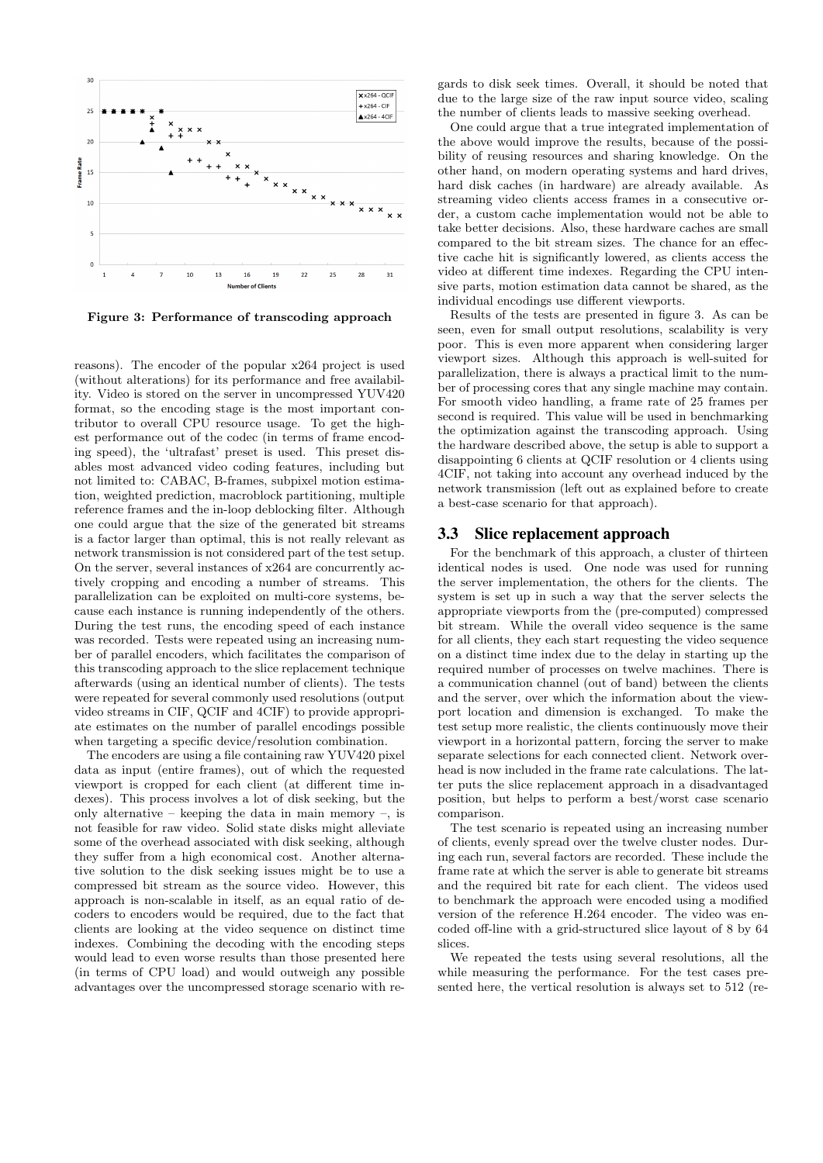

Figure 3: Performance of transcoding approach

reasons). The encoder of the popular x264 project is used (without alterations) for its performance and free availability. Video is stored on the server in uncompressed YUV420 format, so the encoding stage is the most important contributor to overall CPU resource usage. To get the highest performance out of the codec (in terms of frame encoding speed), the 'ultrafast' preset is used. This preset disables most advanced video coding features, including but not limited to: CABAC, B-frames, subpixel motion estimation, weighted prediction, macroblock partitioning, multiple reference frames and the in-loop deblocking filter. Although one could argue that the size of the generated bit streams is a factor larger than optimal, this is not really relevant as network transmission is not considered part of the test setup. On the server, several instances of x264 are concurrently actively cropping and encoding a number of streams. This parallelization can be exploited on multi-core systems, because each instance is running independently of the others. During the test runs, the encoding speed of each instance was recorded. Tests were repeated using an increasing number of parallel encoders, which facilitates the comparison of this transcoding approach to the slice replacement technique afterwards (using an identical number of clients). The tests were repeated for several commonly used resolutions (output video streams in CIF, QCIF and 4CIF) to provide appropriate estimates on the number of parallel encodings possible when targeting a specific device/resolution combination.

The encoders are using a file containing raw YUV420 pixel data as input (entire frames), out of which the requested viewport is cropped for each client (at different time indexes). This process involves a lot of disk seeking, but the only alternative – keeping the data in main memory –, is not feasible for raw video. Solid state disks might alleviate some of the overhead associated with disk seeking, although they suffer from a high economical cost. Another alternative solution to the disk seeking issues might be to use a compressed bit stream as the source video. However, this approach is non-scalable in itself, as an equal ratio of decoders to encoders would be required, due to the fact that clients are looking at the video sequence on distinct time indexes. Combining the decoding with the encoding steps would lead to even worse results than those presented here (in terms of CPU load) and would outweigh any possible advantages over the uncompressed storage scenario with re-

gards to disk seek times. Overall, it should be noted that due to the large size of the raw input source video, scaling the number of clients leads to massive seeking overhead.

One could argue that a true integrated implementation of the above would improve the results, because of the possibility of reusing resources and sharing knowledge. On the other hand, on modern operating systems and hard drives, hard disk caches (in hardware) are already available. As streaming video clients access frames in a consecutive order, a custom cache implementation would not be able to take better decisions. Also, these hardware caches are small compared to the bit stream sizes. The chance for an effective cache hit is significantly lowered, as clients access the video at different time indexes. Regarding the CPU intensive parts, motion estimation data cannot be shared, as the individual encodings use different viewports.

Results of the tests are presented in figure 3. As can be seen, even for small output resolutions, scalability is very poor. This is even more apparent when considering larger viewport sizes. Although this approach is well-suited for parallelization, there is always a practical limit to the number of processing cores that any single machine may contain. For smooth video handling, a frame rate of 25 frames per second is required. This value will be used in benchmarking the optimization against the transcoding approach. Using the hardware described above, the setup is able to support a disappointing 6 clients at QCIF resolution or 4 clients using 4CIF, not taking into account any overhead induced by the network transmission (left out as explained before to create a best-case scenario for that approach).

## 3.3 Slice replacement approach

For the benchmark of this approach, a cluster of thirteen identical nodes is used. One node was used for running the server implementation, the others for the clients. The system is set up in such a way that the server selects the appropriate viewports from the (pre-computed) compressed bit stream. While the overall video sequence is the same for all clients, they each start requesting the video sequence on a distinct time index due to the delay in starting up the required number of processes on twelve machines. There is a communication channel (out of band) between the clients and the server, over which the information about the viewport location and dimension is exchanged. To make the test setup more realistic, the clients continuously move their viewport in a horizontal pattern, forcing the server to make separate selections for each connected client. Network overhead is now included in the frame rate calculations. The latter puts the slice replacement approach in a disadvantaged position, but helps to perform a best/worst case scenario comparison.

The test scenario is repeated using an increasing number of clients, evenly spread over the twelve cluster nodes. During each run, several factors are recorded. These include the frame rate at which the server is able to generate bit streams and the required bit rate for each client. The videos used to benchmark the approach were encoded using a modified version of the reference H.264 encoder. The video was encoded off-line with a grid-structured slice layout of 8 by 64 slices.

We repeated the tests using several resolutions, all the while measuring the performance. For the test cases presented here, the vertical resolution is always set to 512 (re-